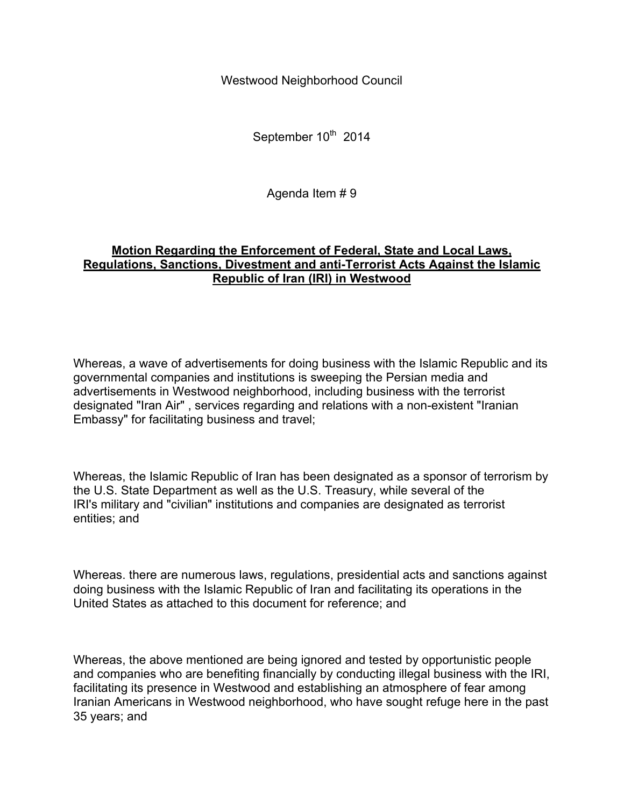Westwood Neighborhood Council

September 10<sup>th</sup> 2014

Agenda Item # 9

## **Motion Regarding the Enforcement of Federal, State and Local Laws, Regulations, Sanctions, Divestment and anti-Terrorist Acts Against the Islamic Republic of Iran (IRI) in Westwood**

Whereas, a wave of advertisements for doing business with the Islamic Republic and its governmental companies and institutions is sweeping the Persian media and advertisements in Westwood neighborhood, including business with the terrorist designated "Iran Air" , services regarding and relations with a non-existent "Iranian Embassy" for facilitating business and travel;

Whereas, the Islamic Republic of Iran has been designated as a sponsor of terrorism by the U.S. State Department as well as the U.S. Treasury, while several of the IRI's military and "civilian" institutions and companies are designated as terrorist entities; and

Whereas. there are numerous laws, regulations, presidential acts and sanctions against doing business with the Islamic Republic of Iran and facilitating its operations in the United States as attached to this document for reference; and

Whereas, the above mentioned are being ignored and tested by opportunistic people and companies who are benefiting financially by conducting illegal business with the IRI, facilitating its presence in Westwood and establishing an atmosphere of fear among Iranian Americans in Westwood neighborhood, who have sought refuge here in the past 35 years; and